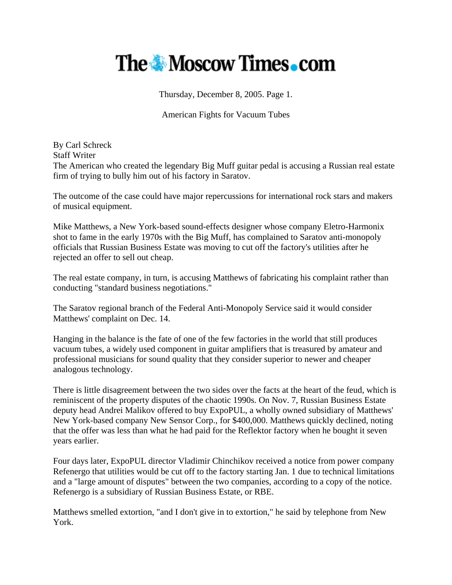## **The Moscow Times.com**

Thursday, December 8, 2005. Page 1.

American Fights for Vacuum Tubes

By Carl Schreck Staff Writer The American who created the legendary Big Muff guitar pedal is accusing a Russian real estate firm of trying to bully him out of his factory in Saratov.

The outcome of the case could have major repercussions for international rock stars and makers of musical equipment.

Mike Matthews, a New York-based sound-effects designer whose company Eletro-Harmonix shot to fame in the early 1970s with the Big Muff, has complained to Saratov anti-monopoly officials that Russian Business Estate was moving to cut off the factory's utilities after he rejected an offer to sell out cheap.

The real estate company, in turn, is accusing Matthews of fabricating his complaint rather than conducting "standard business negotiations."

The Saratov regional branch of the Federal Anti-Monopoly Service said it would consider Matthews' complaint on Dec. 14.

Hanging in the balance is the fate of one of the few factories in the world that still produces vacuum tubes, a widely used component in guitar amplifiers that is treasured by amateur and professional musicians for sound quality that they consider superior to newer and cheaper analogous technology.

There is little disagreement between the two sides over the facts at the heart of the feud, which is reminiscent of the property disputes of the chaotic 1990s. On Nov. 7, Russian Business Estate deputy head Andrei Malikov offered to buy ExpoPUL, a wholly owned subsidiary of Matthews' New York-based company New Sensor Corp., for \$400,000. Matthews quickly declined, noting that the offer was less than what he had paid for the Reflektor factory when he bought it seven years earlier.

Four days later, ExpoPUL director Vladimir Chinchikov received a notice from power company Refenergo that utilities would be cut off to the factory starting Jan. 1 due to technical limitations and a "large amount of disputes" between the two companies, according to a copy of the notice. Refenergo is a subsidiary of Russian Business Estate, or RBE.

Matthews smelled extortion, "and I don't give in to extortion," he said by telephone from New York.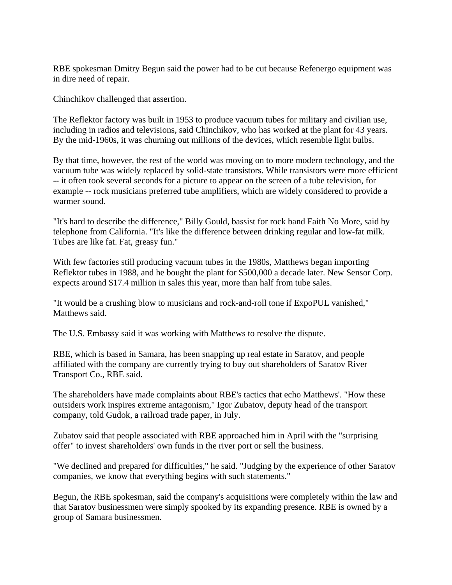RBE spokesman Dmitry Begun said the power had to be cut because Refenergo equipment was in dire need of repair.

Chinchikov challenged that assertion.

The Reflektor factory was built in 1953 to produce vacuum tubes for military and civilian use, including in radios and televisions, said Chinchikov, who has worked at the plant for 43 years. By the mid-1960s, it was churning out millions of the devices, which resemble light bulbs.

By that time, however, the rest of the world was moving on to more modern technology, and the vacuum tube was widely replaced by solid-state transistors. While transistors were more efficient -- it often took several seconds for a picture to appear on the screen of a tube television, for example -- rock musicians preferred tube amplifiers, which are widely considered to provide a warmer sound.

"It's hard to describe the difference," Billy Gould, bassist for rock band Faith No More, said by telephone from California. "It's like the difference between drinking regular and low-fat milk. Tubes are like fat. Fat, greasy fun."

With few factories still producing vacuum tubes in the 1980s, Matthews began importing Reflektor tubes in 1988, and he bought the plant for \$500,000 a decade later. New Sensor Corp. expects around \$17.4 million in sales this year, more than half from tube sales.

"It would be a crushing blow to musicians and rock-and-roll tone if ExpoPUL vanished," Matthews said.

The U.S. Embassy said it was working with Matthews to resolve the dispute.

RBE, which is based in Samara, has been snapping up real estate in Saratov, and people affiliated with the company are currently trying to buy out shareholders of Saratov River Transport Co., RBE said.

The shareholders have made complaints about RBE's tactics that echo Matthews'. "How these outsiders work inspires extreme antagonism," Igor Zubatov, deputy head of the transport company, told Gudok, a railroad trade paper, in July.

Zubatov said that people associated with RBE approached him in April with the "surprising offer" to invest shareholders' own funds in the river port or sell the business.

"We declined and prepared for difficulties," he said. "Judging by the experience of other Saratov companies, we know that everything begins with such statements."

Begun, the RBE spokesman, said the company's acquisitions were completely within the law and that Saratov businessmen were simply spooked by its expanding presence. RBE is owned by a group of Samara businessmen.